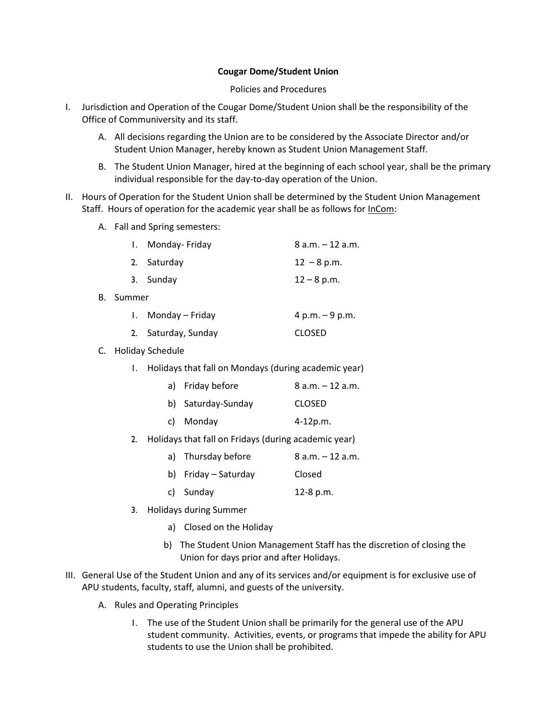## **Cougar Dome/Student Union**

## Policies and Procedures

- I. Jurisdiction and Operation of the Cougar Dome/Student Union shall be the responsibility of the Office of Communiversity and its staff.
	- A. All decisions regarding the Union are to be considered by the Associate Director and/or Student Union Manager, hereby known as Student Union Management Staff.
	- B. The Student Union Manager, hired at the beginning of each school year, shall be the primary individual responsible for the day-to-day operation of the Union.
- II. Hours of Operation for the Student Union shall be determined by the Student Union Management Staff. Hours of operation for the academic year shall be as follows for InCom:
	- A. Fall and Spring semesters:

|    | Monday- Friday  | $8$ a.m. $-12$ a.m. |  |
|----|-----------------|---------------------|--|
|    | 2. Saturday     | $12 - 8$ p.m.       |  |
|    | 3. Sunday       | $12 - 8$ p.m.       |  |
| В. | Summer          |                     |  |
|    | Monday – Friday | 4 p.m. $-9$ p.m.    |  |
|    |                 |                     |  |

- 2. Saturday, Sunday CLOSED
- C. Holiday Schedule
	- 1. Holidays that fall on Mondays (during academic year)
		- a) Friday before  $8 a.m. 12 a.m.$
		- b) Saturday-Sunday CLOSED
		- c) Monday 4-12p.m.
	- 2. Holidays that fall on Fridays (during academic year)
		- a) Thursday before  $\qquad 8$  a.m.  $-12$  a.m. b) Friday – Saturday Closed c) Sunday 12-8 p.m.
	- 3. Holidays during Summer
		- a) Closed on the Holiday
		- b) The Student Union Management Staff has the discretion of closing the Union for days prior and after Holidays.
- III. General Use of the Student Union and any of its services and/or equipment is for exclusive use of APU students, faculty, staff, alumni, and guests of the university.
	- A. Rules and Operating Principles
		- 1. The use of the Student Union shall be primarily for the general use of the APU student community. Activities, events, or programs that impede the ability for APU students to use the Union shall be prohibited.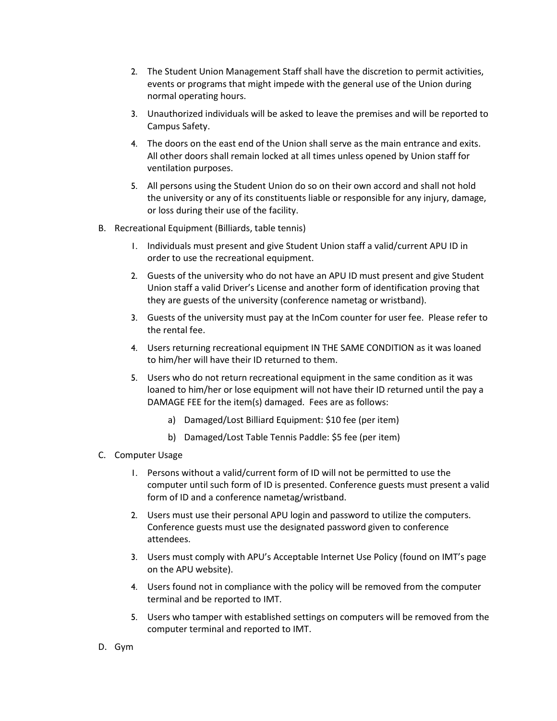- 2. The Student Union Management Staff shall have the discretion to permit activities, events or programs that might impede with the general use of the Union during normal operating hours.
- 3. Unauthorized individuals will be asked to leave the premises and will be reported to Campus Safety.
- 4. The doors on the east end of the Union shall serve as the main entrance and exits. All other doors shall remain locked at all times unless opened by Union staff for ventilation purposes.
- 5. All persons using the Student Union do so on their own accord and shall not hold the university or any of its constituents liable or responsible for any injury, damage, or loss during their use of the facility.
- B. Recreational Equipment (Billiards, table tennis)
	- 1. Individuals must present and give Student Union staff a valid/current APU ID in order to use the recreational equipment.
	- 2. Guests of the university who do not have an APU ID must present and give Student Union staff a valid Driver's License and another form of identification proving that they are guests of the university (conference nametag or wristband).
	- 3. Guests of the university must pay at the InCom counter for user fee. Please refer to the rental fee.
	- 4. Users returning recreational equipment IN THE SAME CONDITION as it was loaned to him/her will have their ID returned to them.
	- 5. Users who do not return recreational equipment in the same condition as it was loaned to him/her or lose equipment will not have their ID returned until the pay a DAMAGE FEE for the item(s) damaged. Fees are as follows:
		- a) Damaged/Lost Billiard Equipment: \$10 fee (per item)
		- b) Damaged/Lost Table Tennis Paddle: \$5 fee (per item)
- C. Computer Usage
	- 1. Persons without a valid/current form of ID will not be permitted to use the computer until such form of ID is presented. Conference guests must present a valid form of ID and a conference nametag/wristband.
	- 2. Users must use their personal APU login and password to utilize the computers. Conference guests must use the designated password given to conference attendees.
	- 3. Users must comply with APU's Acceptable Internet Use Policy (found on IMT's page on the APU website).
	- 4. Users found not in compliance with the policy will be removed from the computer terminal and be reported to IMT.
	- 5. Users who tamper with established settings on computers will be removed from the computer terminal and reported to IMT.
- D. Gym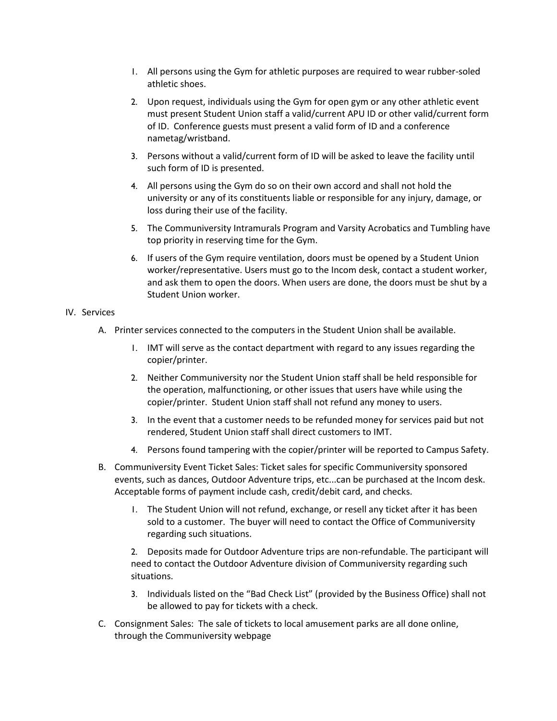- 1. All persons using the Gym for athletic purposes are required to wear rubber-soled athletic shoes.
- 2. Upon request, individuals using the Gym for open gym or any other athletic event must present Student Union staff a valid/current APU ID or other valid/current form of ID. Conference guests must present a valid form of ID and a conference nametag/wristband.
- 3. Persons without a valid/current form of ID will be asked to leave the facility until such form of ID is presented.
- 4. All persons using the Gym do so on their own accord and shall not hold the university or any of its constituents liable or responsible for any injury, damage, or loss during their use of the facility.
- 5. The Communiversity Intramurals Program and Varsity Acrobatics and Tumbling have top priority in reserving time for the Gym.
- 6. If users of the Gym require ventilation, doors must be opened by a Student Union worker/representative. Users must go to the Incom desk, contact a student worker, and ask them to open the doors. When users are done, the doors must be shut by a Student Union worker.

# IV. Services

- A. Printer services connected to the computers in the Student Union shall be available.
	- 1. IMT will serve as the contact department with regard to any issues regarding the copier/printer.
	- 2. Neither Communiversity nor the Student Union staff shall be held responsible for the operation, malfunctioning, or other issues that users have while using the copier/printer. Student Union staff shall not refund any money to users.
	- 3. In the event that a customer needs to be refunded money for services paid but not rendered, Student Union staff shall direct customers to IMT.
	- 4. Persons found tampering with the copier/printer will be reported to Campus Safety.
- B. Communiversity Event Ticket Sales: Ticket sales for specific Communiversity sponsored events, such as dances, Outdoor Adventure trips, etc...can be purchased at the Incom desk. Acceptable forms of payment include cash, credit/debit card, and checks.
	- 1. The Student Union will not refund, exchange, or resell any ticket after it has been sold to a customer. The buyer will need to contact the Office of Communiversity regarding such situations.

2. Deposits made for Outdoor Adventure trips are non-refundable. The participant will need to contact the Outdoor Adventure division of Communiversity regarding such situations.

- 3. Individuals listed on the "Bad Check List" (provided by the Business Office) shall not be allowed to pay for tickets with a check.
- C. Consignment Sales: The sale of tickets to local amusement parks are all done online, through the Communiversity webpage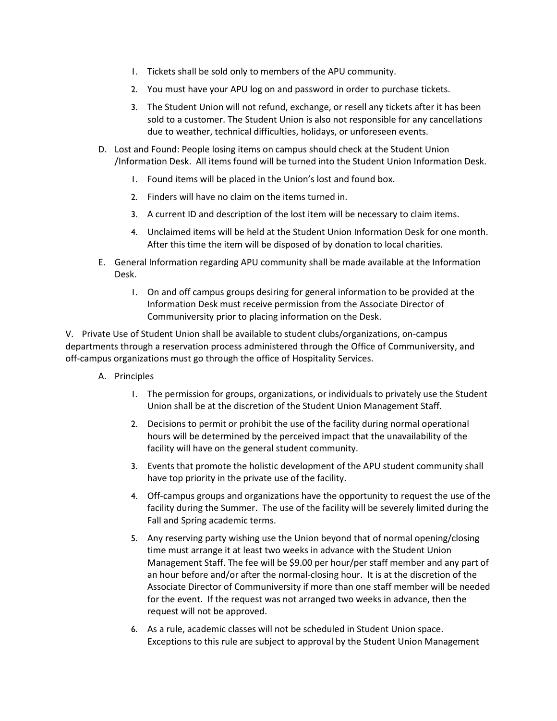- 1. Tickets shall be sold only to members of the APU community.
- 2. You must have your APU log on and password in order to purchase tickets.
- 3. The Student Union will not refund, exchange, or resell any tickets after it has been sold to a customer. The Student Union is also not responsible for any cancellations due to weather, technical difficulties, holidays, or unforeseen events.
- D. Lost and Found: People losing items on campus should check at the Student Union /Information Desk. All items found will be turned into the Student Union Information Desk.
	- 1. Found items will be placed in the Union's lost and found box.
	- 2. Finders will have no claim on the items turned in.
	- 3. A current ID and description of the lost item will be necessary to claim items.
	- 4. Unclaimed items will be held at the Student Union Information Desk for one month. After this time the item will be disposed of by donation to local charities.
- E. General Information regarding APU community shall be made available at the Information Desk.
	- 1. On and off campus groups desiring for general information to be provided at the Information Desk must receive permission from the Associate Director of Communiversity prior to placing information on the Desk.

V. Private Use of Student Union shall be available to student clubs/organizations, on-campus departments through a reservation process administered through the Office of Communiversity, and off-campus organizations must go through the office of Hospitality Services.

- A. Principles
	- 1. The permission for groups, organizations, or individuals to privately use the Student Union shall be at the discretion of the Student Union Management Staff.
	- 2. Decisions to permit or prohibit the use of the facility during normal operational hours will be determined by the perceived impact that the unavailability of the facility will have on the general student community.
	- 3. Events that promote the holistic development of the APU student community shall have top priority in the private use of the facility.
	- 4. Off-campus groups and organizations have the opportunity to request the use of the facility during the Summer. The use of the facility will be severely limited during the Fall and Spring academic terms.
	- 5. Any reserving party wishing use the Union beyond that of normal opening/closing time must arrange it at least two weeks in advance with the Student Union Management Staff. The fee will be \$9.00 per hour/per staff member and any part of an hour before and/or after the normal-closing hour. It is at the discretion of the Associate Director of Communiversity if more than one staff member will be needed for the event. If the request was not arranged two weeks in advance, then the request will not be approved.
	- 6. As a rule, academic classes will not be scheduled in Student Union space. Exceptions to this rule are subject to approval by the Student Union Management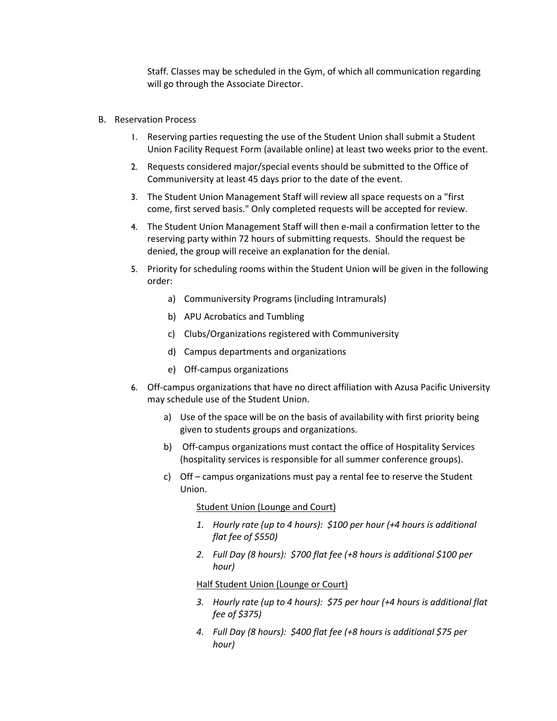Staff. Classes may be scheduled in the Gym, of which all communication regarding will go through the Associate Director.

- B. Reservation Process
	- 1. Reserving parties requesting the use of the Student Union shall submit a Student Union Facility Request Form (available online) at least two weeks prior to the event.
	- 2. Requests considered major/special events should be submitted to the Office of Communiversity at least 45 days prior to the date of the event.
	- 3. The Student Union Management Staff will review all space requests on a "first come, first served basis." Only completed requests will be accepted for review.
	- 4. The Student Union Management Staff will then e-mail a confirmation letter to the reserving party within 72 hours of submitting requests. Should the request be denied, the group will receive an explanation for the denial.
	- 5. Priority for scheduling rooms within the Student Union will be given in the following order:
		- a) Communiversity Programs (including Intramurals)
		- b) APU Acrobatics and Tumbling
		- c) Clubs/Organizations registered with Communiversity
		- d) Campus departments and organizations
		- e) Off-campus organizations
	- 6. Off-campus organizations that have no direct affiliation with Azusa Pacific University may schedule use of the Student Union.
		- a) Use of the space will be on the basis of availability with first priority being given to students groups and organizations.
		- b) Off-campus organizations must contact the office of Hospitality Services (hospitality services is responsible for all summer conference groups).
		- c) Off campus organizations must pay a rental fee to reserve the Student Union.

#### Student Union (Lounge and Court)

- *1. Hourly rate (up to 4 hours): \$100 per hour (+4 hours is additional flat fee of \$550)*
- *2. Full Day (8 hours): \$700 flat fee (+8 hours is additional \$100 per hour)*

Half Student Union (Lounge or Court)

- *3. Hourly rate (up to 4 hours): \$75 per hour (+4 hours is additional flat fee of \$375)*
- *4. Full Day (8 hours): \$400 flat fee (+8 hours is additional \$75 per hour)*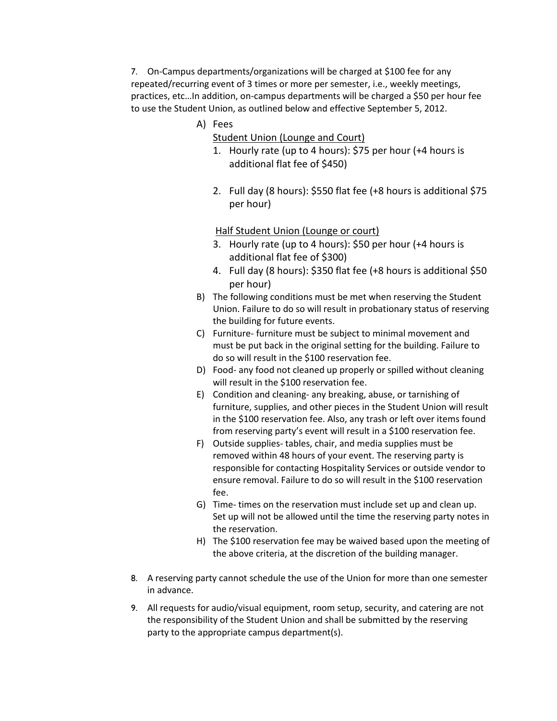7. On-Campus departments/organizations will be charged at \$100 fee for any repeated/recurring event of 3 times or more per semester, i.e., weekly meetings, practices, etc…In addition, on-campus departments will be charged a \$50 per hour fee to use the Student Union, as outlined below and effective September 5, 2012.

- A) Fees
	- Student Union (Lounge and Court)
	- 1. Hourly rate (up to 4 hours): \$75 per hour (+4 hours is additional flat fee of \$450)
	- 2. Full day (8 hours): \$550 flat fee (+8 hours is additional \$75 per hour)

# Half Student Union (Lounge or court)

- 3. Hourly rate (up to 4 hours): \$50 per hour (+4 hours is additional flat fee of \$300)
- 4. Full day (8 hours): \$350 flat fee (+8 hours is additional \$50 per hour)
- B) The following conditions must be met when reserving the Student Union. Failure to do so will result in probationary status of reserving the building for future events.
- C) Furniture- furniture must be subject to minimal movement and must be put back in the original setting for the building. Failure to do so will result in the \$100 reservation fee.
- D) Food- any food not cleaned up properly or spilled without cleaning will result in the \$100 reservation fee.
- E) Condition and cleaning- any breaking, abuse, or tarnishing of furniture, supplies, and other pieces in the Student Union will result in the \$100 reservation fee. Also, any trash or left over items found from reserving party's event will result in a \$100 reservation fee.
- F) Outside supplies- tables, chair, and media supplies must be removed within 48 hours of your event. The reserving party is responsible for contacting Hospitality Services or outside vendor to ensure removal. Failure to do so will result in the \$100 reservation fee.
- G) Time- times on the reservation must include set up and clean up. Set up will not be allowed until the time the reserving party notes in the reservation.
- H) The \$100 reservation fee may be waived based upon the meeting of the above criteria, at the discretion of the building manager.
- 8. A reserving party cannot schedule the use of the Union for more than one semester in advance.
- 9. All requests for audio/visual equipment, room setup, security, and catering are not the responsibility of the Student Union and shall be submitted by the reserving party to the appropriate campus department(s).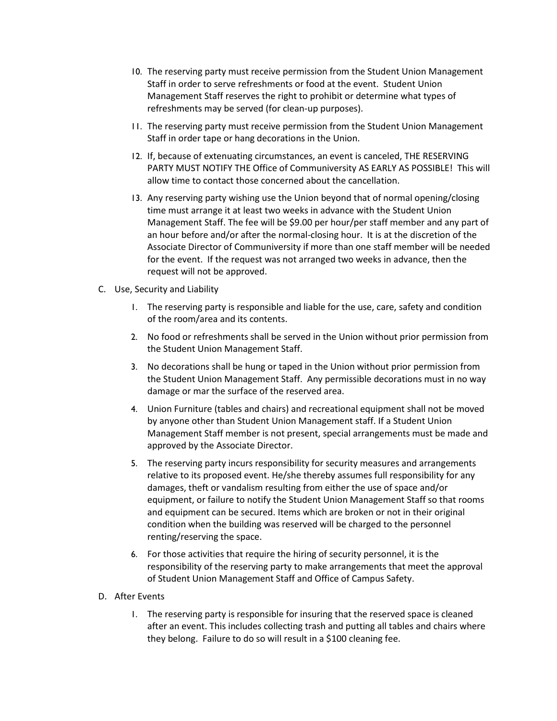- 10. The reserving party must receive permission from the Student Union Management Staff in order to serve refreshments or food at the event. Student Union Management Staff reserves the right to prohibit or determine what types of refreshments may be served (for clean-up purposes).
- 11. The reserving party must receive permission from the Student Union Management Staff in order tape or hang decorations in the Union.
- 12. If, because of extenuating circumstances, an event is canceled, THE RESERVING PARTY MUST NOTIFY THE Office of Communiversity AS EARLY AS POSSIBLE! This will allow time to contact those concerned about the cancellation.
- 13. Any reserving party wishing use the Union beyond that of normal opening/closing time must arrange it at least two weeks in advance with the Student Union Management Staff. The fee will be \$9.00 per hour/per staff member and any part of an hour before and/or after the normal-closing hour. It is at the discretion of the Associate Director of Communiversity if more than one staff member will be needed for the event. If the request was not arranged two weeks in advance, then the request will not be approved.
- C. Use, Security and Liability
	- 1. The reserving party is responsible and liable for the use, care, safety and condition of the room/area and its contents.
	- 2. No food or refreshments shall be served in the Union without prior permission from the Student Union Management Staff.
	- 3. No decorations shall be hung or taped in the Union without prior permission from the Student Union Management Staff. Any permissible decorations must in no way damage or mar the surface of the reserved area.
	- 4. Union Furniture (tables and chairs) and recreational equipment shall not be moved by anyone other than Student Union Management staff. If a Student Union Management Staff member is not present, special arrangements must be made and approved by the Associate Director.
	- 5. The reserving party incurs responsibility for security measures and arrangements relative to its proposed event. He/she thereby assumes full responsibility for any damages, theft or vandalism resulting from either the use of space and/or equipment, or failure to notify the Student Union Management Staff so that rooms and equipment can be secured. Items which are broken or not in their original condition when the building was reserved will be charged to the personnel renting/reserving the space.
	- 6. For those activities that require the hiring of security personnel, it is the responsibility of the reserving party to make arrangements that meet the approval of Student Union Management Staff and Office of Campus Safety.
- D. After Events
	- 1. The reserving party is responsible for insuring that the reserved space is cleaned after an event. This includes collecting trash and putting all tables and chairs where they belong. Failure to do so will result in a \$100 cleaning fee.